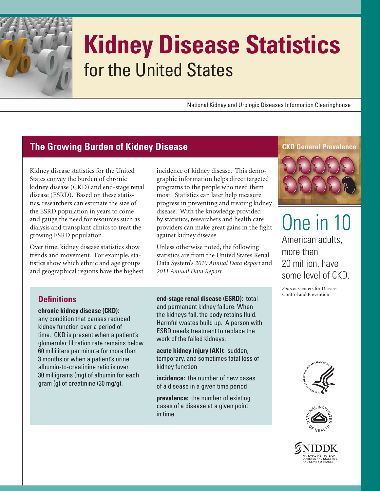

# **Kidney Disease Statistics**  for the United States

National Kidney and Urologic Diseases Information Clearinghouse

# **The Growing Burden of Kidney Disease**

growing ESRD population. Kidney disease statistics for the United States convey the burden of chronic kidney disease (CKD) and end-stage renal disease (ESRD). Based on these statistics, researchers can estimate the size of the ESRD population in years to come and gauge the need for resources such as dialysis and transplant clinics to treat the

Over time, kidney disease statistics show trends and movement. For example, statistics show which ethnic and age groups and geographical regions have the highest

 disease. With the knowledge provided incidence of kidney disease. This demographic information helps direct targeted programs to the people who need them most. Statistics can later help measure progress in preventing and treating kidney by statistics, researchers and health care providers can make great gains in the fight against kidney disease.

Unless otherwise noted, the following statistics are from the United States Renal Data System's *2010 Annual Data Report* and *2011 Annual Data Report.* 

#### **Defi nitions**

**chronic kidney disease (CKD):**  any condition that causes reduced kidney function over a period of time. CKD is present when a patient's glomerular filtration rate remains below 60 milliliters per minute for more than 3 months or when a patient's urine albumin-to-creatinine ratio is over 30 milligrams (mg) of albumin for each gram (g) of creatinine (30 mg/g).

the kidneys fail, the body retains fluid. **end-stage renal disease (ESRD):** total and permanent kidney failure. When Harmful wastes build up. A person with ESRD needs treatment to replace the work of the failed kidneys.

**acute kidney injury (AKI):** sudden, temporary, and sometimes fatal loss of kidney function

**incidence:** the number of new cases of a disease in a given time period

**prevalence:** the number of existing cases of a disease at a given point in time

#### **CKD General Prevalence**



One in 10 American adults, more than 20 million, have some level of CKD.

*Source:* Centers for Disease Control and Prevention





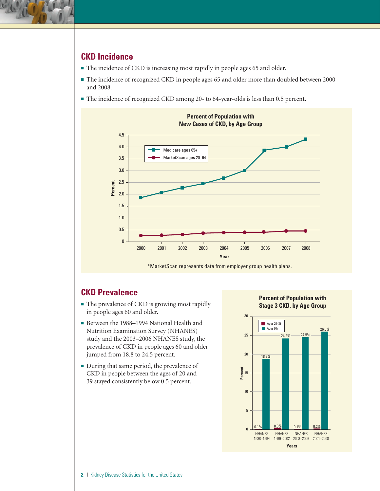

### **CKD Incidence**

- The incidence of CKD is increasing most rapidly in people ages 65 and older.
- The incidence of recognized CKD in people ages 65 and older more than doubled between 2000 and 2008.
- The incidence of recognized CKD among 20- to 64-year-olds is less than 0.5 percent.



#### **CKD Prevalence**

- The prevalence of CKD is growing most rapidly in people ages 60 and older.
- Between the 1988–1994 National Health and Nutrition Examination Survey (NHANES) study and the 2003–2006 NHANES study, the prevalence of CKD in people ages 60 and older jumped from 18.8 to 24.5 percent.
- During that same period, the prevalence of CKD in people between the ages of 20 and 39 stayed consistently below 0.5 percent.

**Percent of Population with Stage 3 CKD, by Age Group** 

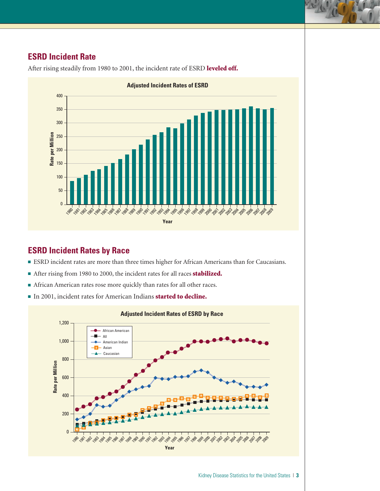## **ESRD Incident Rate**



After rising steadily from 1980 to 2001, the incident rate of ESRD leveled off.

#### **ESRD Incident Rates by Race**

- ESRD incident rates are more than three times higher for African Americans than for Caucasians.
- After rising from 1980 to 2000, the incident rates for all races **stabilized.**
- African American rates rose more quickly than rates for all other races.
- In 2001, incident rates for American Indians started to decline.

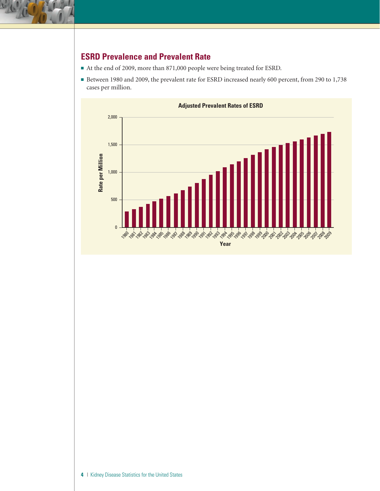

# **ESRD Prevalence and Prevalent Rate**

- At the end of 2009, more than 871,000 people were being treated for ESRD.
- Between 1980 and 2009, the prevalent rate for ESRD increased nearly 600 percent, from 290 to 1,738 cases per million.

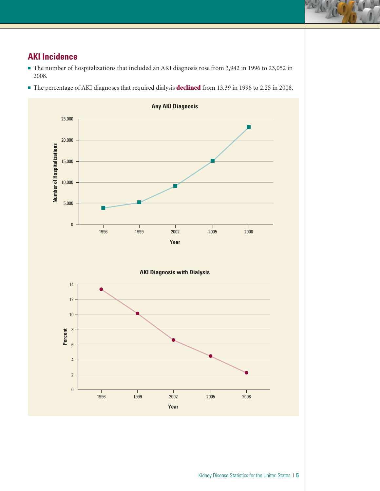# **AKI Incidence**

- The number of hospitalizations that included an AKI diagnosis rose from 3,942 in 1996 to 23,052 in 2008.
- The percentage of AKI diagnoses that required dialysis **declined** from 13.39 in 1996 to 2.25 in 2008.

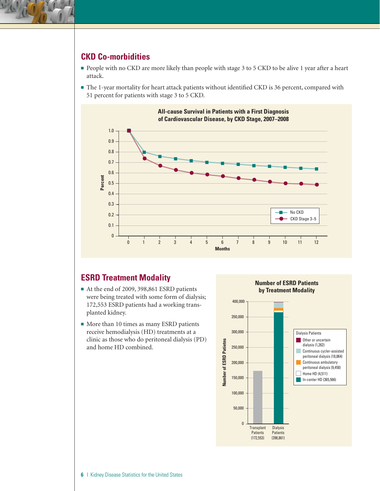

#### **CKD Co-morbidities**

- People with no CKD are more likely than people with stage 3 to 5 CKD to be alive 1 year after a heart attack.
- The 1-year mortality for heart attack patients without identified CKD is 36 percent, compared with 51 percent for patients with stage 3 to 5 CKD.



#### **ESRD Treatment Modality**

- At the end of 2009, 398,861 ESRD patients were being treated with some form of dialysis; 172,553 ESRD patients had a working transplanted kidney.
- More than 10 times as many ESRD patients receive hemodialysis (HD) treatments at a clinic as those who do peritoneal dialysis (PD) and home HD combined.



**Number of ESRD Patients by Treatment Modality**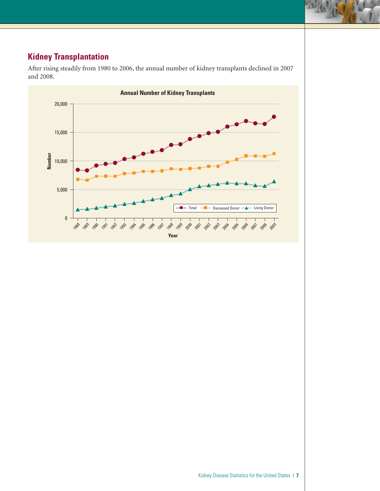# **Kidney Transplantation**

After rising steadily from 1980 to 2006, the annual number of kidney transplants declined in 2007 and 2008.

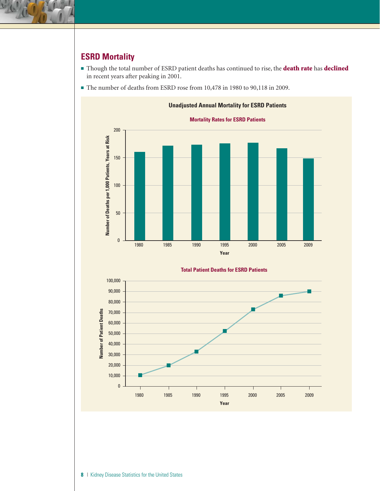

# **ESRD Mortality**

- Though the total number of ESRD patient deaths has continued to rise, the **death rate** has **declined** in recent years after peaking in 2001.
- The number of deaths from ESRD rose from 10,478 in 1980 to 90,118 in 2009.



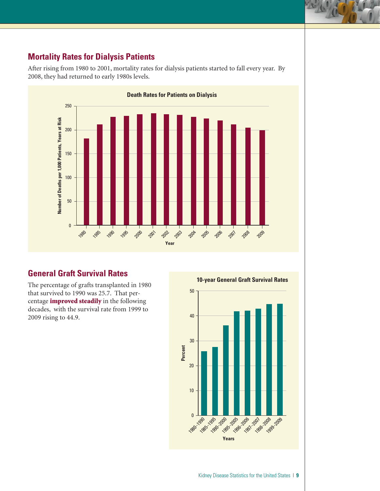## **Mortality Rates for Dialysis Patients**

After rising from 1980 to 2001, mortality rates for dialysis patients started to fall every year. By 2008, they had returned to early 1980s levels.



#### **General Graft Survival Rates**

The percentage of grafts transplanted in 1980 that survived to 1990 was 25.7. That percentage improved steadily in the following decades, with the survival rate from 1999 to 2009 rising to 44.9.

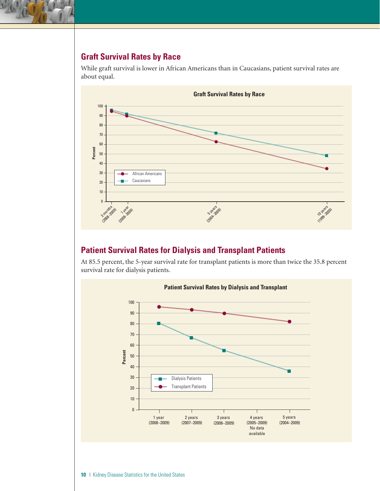## **Graft Survival Rates by Race**

While graft survival is lower in African Americans than in Caucasians, patient survival rates are about equal.



#### **Patient Survival Rates for Dialysis and Transplant Patients**

At 85.5 percent, the 5-year survival rate for transplant patients is more than twice the 35.8 percent survival rate for dialysis patients.

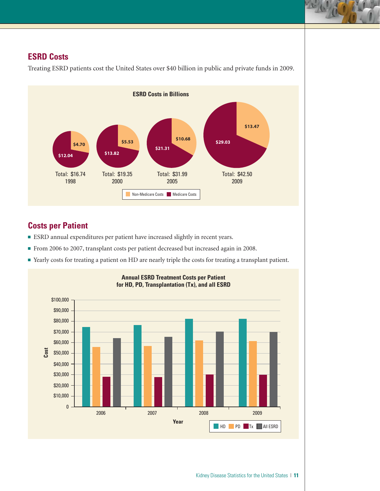#### **ESRD Costs**



Treating ESRD patients cost the United States over \$40 billion in public and private funds in 2009.

# **Costs per Patient**

- ESRD annual expenditures per patient have increased slightly in recent years.
- ESRD annual expenditures per patient have increased slightly in recent years.<br>■ From 2006 to 2007, transplant costs per patient decreased but increased again in 2008.
- Yearly costs for treating a patient on HD are nearly triple the costs for treating a transplant patient.

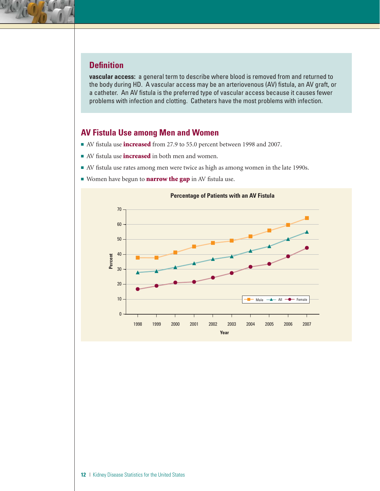#### **Defi nition**

**vascular access:** a general term to describe where blood is removed from and returned to the body during HD. A vascular access may be an arteriovenous (AV) fistula, an AV graft, or a catheter. An AV fistula is the preferred type of vascular access because it causes fewer problems with infection and clotting. Catheters have the most problems with infection.

#### **AV Fistula Use among Men and Women**

- AV fistula use **increased** from 27.9 to 55.0 percent between 1998 and 2007.
- AV fistula use **increased** in both men and women.
- AV fistula use rates among men were twice as high as among women in the late 1990s.
- Women have begun to **narrow the gap** in AV fistula use.

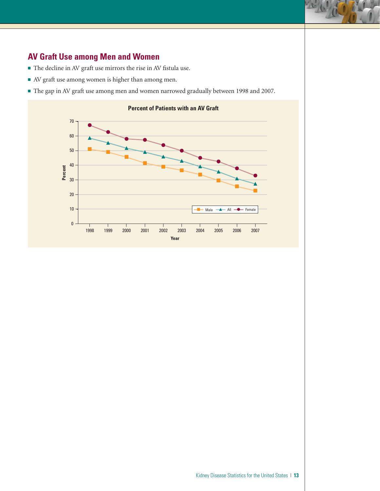#### **AV Graft Use among Men and Women**

- $\blacksquare$  <br> The decline in AV graft use mirrors the rise in AV fistula use.
- AV graft use among women is higher than among men.
- The gap in AV graft use among men and women narrowed gradually between 1998 and 2007.

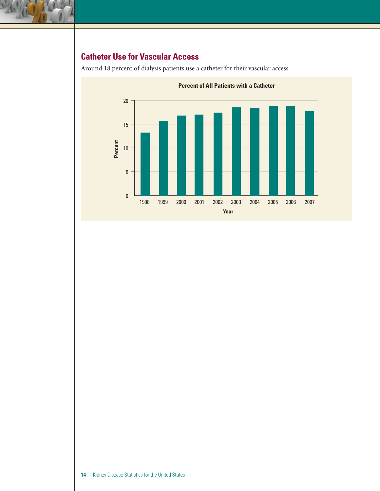

# **Catheter Use for Vascular Access**



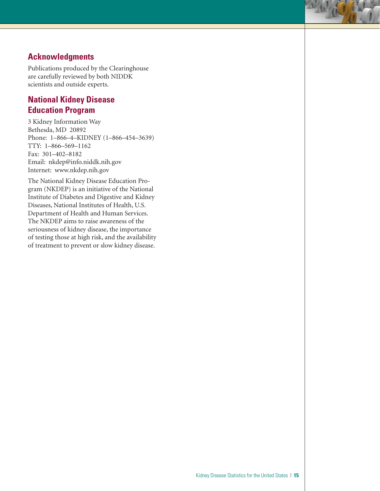#### **Acknowledgments**

Publications produced by the Clearinghouse are carefully reviewed by both NIDDK scientists and outside experts.

## **National Kidney Disease Education Program**

3 Kidney Information Way Bethesda, MD 20892 Phone: 1–866–4–KIDNEY (1–866–454–3639) TTY: 1–866–569–1162 Fax: 301–402–8182 Email: nkdep@info.niddk.nih.gov Internet: www.nkdep.nih.gov

Department of Health and Human Services. The National Kidney Disease Education Program (NKDEP) is an initiative of the National Institute of Diabetes and Digestive and Kidney Diseases, National Institutes of Health, U.S. The NKDEP aims to raise awareness of the seriousness of kidney disease, the importance of testing those at high risk, and the availability of treatment to prevent or slow kidney disease.